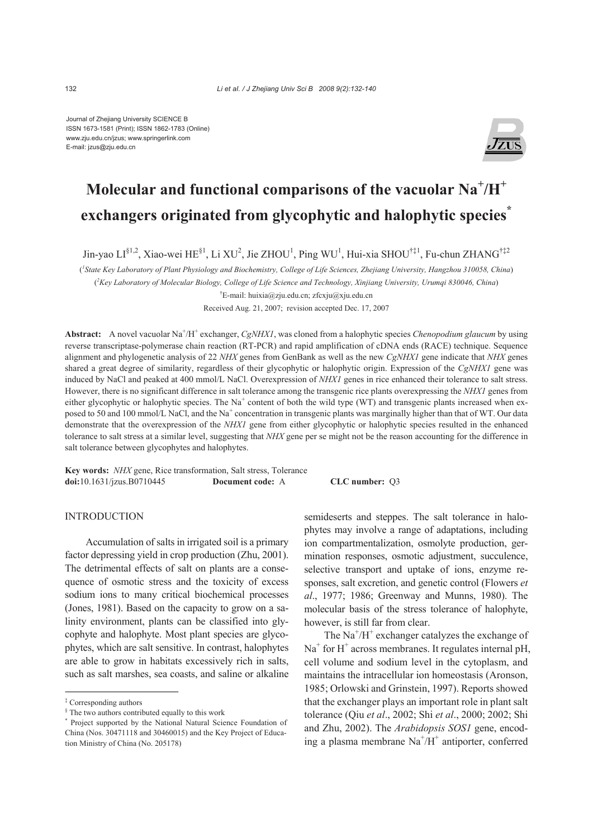Journal of Zhejiang University SCIENCE B ISSN 1673-1581 (Print); ISSN 1862-1783 (Online) www.zju.edu.cn/jzus; www.springerlink.com E-mail: jzus@zju.edu.cn



# **Molecular and functional comparisons of the vacuolar Na<sup>+</sup> /H<sup>+</sup> exchangers originated from glycophytic and halophytic species\***

Jin-yao LI<sup>§1,2</sup>, Xiao-wei HE<sup>§1</sup>, Li XU<sup>2</sup>, Jie ZHOU<sup>1</sup>, Ping WU<sup>1</sup>, Hui-xia SHOU<sup>†‡1</sup>, Fu-chun ZHANG<sup>†‡2</sup>

( *1 State Key Laboratory of Plant Physiology and Biochemistry, College of Life Sciences, Zhejiang University, Hangzhou 310058, China*)

( *2 Key Laboratory of Molecular Biology, College of Life Science and Technology, Xinjiang University, Urumqi 830046, China*)

† E-mail: huixia@zju.edu.cn; zfcxju@xju.edu.cn

Received Aug. 21, 2007; revision accepted Dec. 17, 2007

Abstract: A novel vacuolar Na<sup>+</sup>/H<sup>+</sup> exchanger, *CgNHX1*, was cloned from a halophytic species *Chenopodium glaucum* by using reverse transcriptase-polymerase chain reaction (RT-PCR) and rapid amplification of cDNA ends (RACE) technique. Sequence alignment and phylogenetic analysis of 22 *NHX* genes from GenBank as well as the new *CgNHX1* gene indicate that *NHX* genes shared a great degree of similarity, regardless of their glycophytic or halophytic origin. Expression of the *CgNHX1* gene was induced by NaCl and peaked at 400 mmol/L NaCl. Overexpression of *NHX1* genes in rice enhanced their tolerance to salt stress. However, there is no significant difference in salt tolerance among the transgenic rice plants overexpressing the *NHX1* genes from either glycophytic or halophytic species. The Na<sup>+</sup> content of both the wild type (WT) and transgenic plants increased when exposed to 50 and 100 mmol/L NaCl, and the Na<sup>+</sup> concentration in transgenic plants was marginally higher than that of WT. Our data demonstrate that the overexpression of the *NHX1* gene from either glycophytic or halophytic species resulted in the enhanced tolerance to salt stress at a similar level, suggesting that *NHX* gene per se might not be the reason accounting for the difference in salt tolerance between glycophytes and halophytes.

**Key words:** *NHX* gene, Rice transformation, Salt stress, Tolerance **doi:**10.1631/jzus.B0710445 **Document code:** A **CLC number:** Q3

## **INTRODUCTION**

Accumulation of salts in irrigated soil is a primary factor depressing yield in crop production (Zhu, 2001). The detrimental effects of salt on plants are a consequence of osmotic stress and the toxicity of excess sodium ions to many critical biochemical processes (Jones, 1981). Based on the capacity to grow on a salinity environment, plants can be classified into glycophyte and halophyte. Most plant species are glycophytes, which are salt sensitive. In contrast, halophytes are able to grow in habitats excessively rich in salts, such as salt marshes, sea coasts, and saline or alkaline

semideserts and steppes. The salt tolerance in halophytes may involve a range of adaptations, including ion compartmentalization, osmolyte production, germination responses, osmotic adjustment, succulence, selective transport and uptake of ions, enzyme responses, salt excretion, and genetic control (Flowers *et al*., 1977; 1986; Greenway and Munns, 1980). The molecular basis of the stress tolerance of halophyte, however, is still far from clear.

The  $\text{Na}^+/\text{H}^+$  exchanger catalyzes the exchange of  $Na<sup>+</sup>$  for H<sup>+</sup> across membranes. It regulates internal pH, cell volume and sodium level in the cytoplasm, and maintains the intracellular ion homeostasis (Aronson, 1985; Orlowski and Grinstein, 1997). Reports showed that the exchanger plays an important role in plant salt tolerance (Qiu *et al*., 2002; Shi *et al*., 2000; 2002; Shi and Zhu, 2002). The *Arabidopsis SOS1* gene, encoding a plasma membrane  $Na^{+}/H^{+}$  antiporter, conferred

<sup>‡</sup> Corresponding authors

<sup>§</sup> The two authors contributed equally to this work

<sup>\*</sup> Project supported by the National Natural Science Foundation of China (Nos. 30471118 and 30460015) and the Key Project of Education Ministry of China (No. 205178)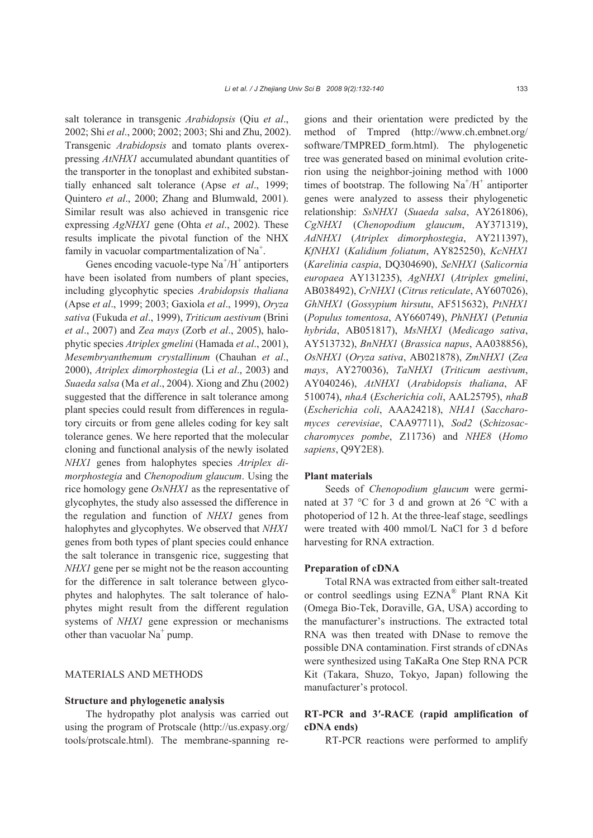salt tolerance in transgenic *Arabidopsis* (Qiu *et al*., 2002; Shi *et al*., 2000; 2002; 2003; Shi and Zhu, 2002). Transgenic *Arabidopsis* and tomato plants overexpressing *AtNHX1* accumulated abundant quantities of the transporter in the tonoplast and exhibited substantially enhanced salt tolerance (Apse *et al*., 1999; Quintero *et al*., 2000; Zhang and Blumwald, 2001). Similar result was also achieved in transgenic rice expressing *AgNHX1* gene (Ohta *et al*., 2002). These results implicate the pivotal function of the NHX family in vacuolar compartmentalization of Na<sup>+</sup>.

Genes encoding vacuole-type  $\text{Na}^+/\text{H}^+$  antiporters have been isolated from numbers of plant species, including glycophytic species *Arabidopsis thaliana*  (Apse *et al*., 1999; 2003; Gaxiola *et al*., 1999), *Oryza sativa* (Fukuda *et al*., 1999), *Triticum aestivum* (Brini *et al*., 2007) and *Zea mays* (Zorb *et al*., 2005), halophytic species *Atriplex gmelini* (Hamada *et al*., 2001), *Mesembryanthemum crystallinum* (Chauhan *et al*., 2000), *Atriplex dimorphostegia* (Li *et al*., 2003) and *Suaeda salsa* (Ma *et al*., 2004). Xiong and Zhu (2002) suggested that the difference in salt tolerance among plant species could result from differences in regulatory circuits or from gene alleles coding for key salt tolerance genes. We here reported that the molecular cloning and functional analysis of the newly isolated *NHX1* genes from halophytes species *Atriplex dimorphostegia* and *Chenopodium glaucum*. Using the rice homology gene *OsNHX1* as the representative of glycophytes, the study also assessed the difference in the regulation and function of *NHX1* genes from halophytes and glycophytes. We observed that *NHX1* genes from both types of plant species could enhance the salt tolerance in transgenic rice, suggesting that *NHX1* gene per se might not be the reason accounting for the difference in salt tolerance between glycophytes and halophytes. The salt tolerance of halophytes might result from the different regulation systems of *NHX1* gene expression or mechanisms other than vacuolar Na<sup>+</sup> pump.

# MATERIALS AND METHODS

### **Structure and phylogenetic analysis**

The hydropathy plot analysis was carried out using the program of Protscale (http://us.expasy.org/ tools/protscale.html). The membrane-spanning regions and their orientation were predicted by the method of Tmpred (http://www.ch.embnet.org/ software/TMPRED\_form.html). The phylogenetic tree was generated based on minimal evolution criterion using the neighbor-joining method with 1000 times of bootstrap. The following  $\text{Na}^+\text{/H}^+$  antiporter genes were analyzed to assess their phylogenetic relationship: *SsNHX1* (*Suaeda salsa*, AY261806), *CgNHX1* (*Chenopodium glaucum*, AY371319), *AdNHX1* (*Atriplex dimorphostegia*, AY211397), *KfNHX1* (*Kalidium foliatum*, AY825250), *KcNHX1*  (*Karelinia caspia*, DQ304690), *SeNHX1* (*Salicornia europaea* AY131235), *AgNHX1* (*Atriplex gmelini*, AB038492), *CrNHX1* (*Citrus reticulate*, AY607026), *GhNHX1* (*Gossypium hirsutu*, AF515632), *PtNHX1* (*Populus tomentosa*, AY660749), *PhNHX1* (*Petunia hybrida*, AB051817), *MsNHX1* (*Medicago sativa*, AY513732), *BnNHX1* (*Brassica napus*, AA038856), *OsNHX1* (*Oryza sativa*, AB021878), *ZmNHX1* (*Zea mays*, AY270036), *TaNHX1* (*Triticum aestivum*, AY040246), *AtNHX1* (*Arabidopsis thaliana*, AF 510074), *nhaA* (*Escherichia coli*, AAL25795), *nhaB*  (*Escherichia coli*, AAA24218), *NHA1* (*Saccharomyces cerevisiae*, CAA97711), *Sod2* (*Schizosaccharomyces pombe*, Z11736) and *NHE8* (*Homo sapiens*, Q9Y2E8).

#### **Plant materials**

Seeds of *Chenopodium glaucum* were germinated at 37 °C for 3 d and grown at 26 °C with a photoperiod of 12 h. At the three-leaf stage, seedlings were treated with 400 mmol/L NaCl for 3 d before harvesting for RNA extraction.

#### **Preparation of cDNA**

Total RNA was extracted from either salt-treated or control seedlings using EZNA® Plant RNA Kit (Omega Bio-Tek, Doraville, GA, USA) according to the manufacturer's instructions. The extracted total RNA was then treated with DNase to remove the possible DNA contamination. First strands of cDNAs were synthesized using TaKaRa One Step RNA PCR Kit (Takara, Shuzo, Tokyo, Japan) following the manufacturer's protocol.

# **RT-PCR and 3′-RACE (rapid amplification of cDNA ends)**

RT-PCR reactions were performed to amplify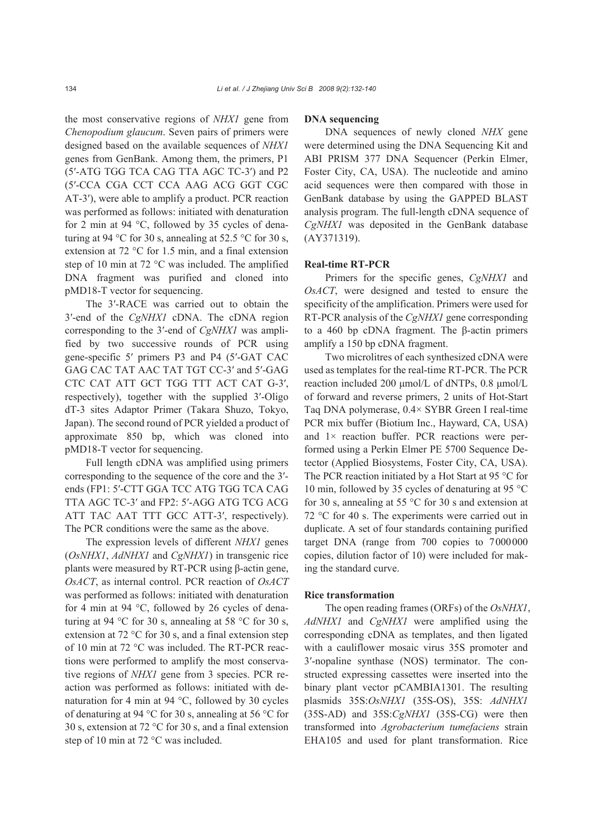the most conservative regions of *NHX1* gene from *Chenopodium glaucum*. Seven pairs of primers were designed based on the available sequences of *NHX1* genes from GenBank. Among them, the primers, P1 (5′-ATG TGG TCA CAG TTA AGC TC-3′) and P2 (5′-CCA CGA CCT CCA AAG ACG GGT CGC AT-3′), were able to amplify a product. PCR reaction was performed as follows: initiated with denaturation for 2 min at 94 °C, followed by 35 cycles of denaturing at 94 °C for 30 s, annealing at 52.5 °C for 30 s, extension at 72 °C for 1.5 min, and a final extension step of 10 min at 72 °C was included. The amplified DNA fragment was purified and cloned into pMD18-T vector for sequencing.

The 3′-RACE was carried out to obtain the 3′-end of the *CgNHX1* cDNA. The cDNA region corresponding to the 3′-end of *CgNHX1* was amplified by two successive rounds of PCR using gene-specific 5′ primers P3 and P4 (5′-GAT CAC GAG CAC TAT AAC TAT TGT CC-3′ and 5′-GAG CTC CAT ATT GCT TGG TTT ACT CAT G-3′, respectively), together with the supplied 3′-Oligo dT-3 sites Adaptor Primer (Takara Shuzo, Tokyo, Japan). The second round of PCR yielded a product of approximate 850 bp, which was cloned into pMD18-T vector for sequencing.

Full length cDNA was amplified using primers corresponding to the sequence of the core and the 3′ ends (FP1: 5′-CTT GGA TCC ATG TGG TCA CAG TTA AGC TC-3′ and FP2: 5′-AGG ATG TCG ACG ATT TAC AAT TTT GCC ATT-3′, respectively). The PCR conditions were the same as the above.

The expression levels of different *NHX1* genes (*OsNHX1*, *AdNHX1* and *CgNHX1*) in transgenic rice plants were measured by RT-PCR using β-actin gene, *OsACT*, as internal control. PCR reaction of *OsACT* was performed as follows: initiated with denaturation for 4 min at 94 °C, followed by 26 cycles of denaturing at 94 °C for 30 s, annealing at 58 °C for 30 s, extension at 72 °C for 30 s, and a final extension step of 10 min at 72 °C was included. The RT-PCR reactions were performed to amplify the most conservative regions of *NHX1* gene from 3 species. PCR reaction was performed as follows: initiated with denaturation for 4 min at 94 °C, followed by 30 cycles of denaturing at 94 °C for 30 s, annealing at 56 °C for 30 s, extension at 72 °C for 30 s, and a final extension step of 10 min at 72 °C was included.

#### **DNA sequencing**

DNA sequences of newly cloned *NHX* gene were determined using the DNA Sequencing Kit and ABI PRISM 377 DNA Sequencer (Perkin Elmer, Foster City, CA, USA). The nucleotide and amino acid sequences were then compared with those in GenBank database by using the GAPPED BLAST analysis program. The full-length cDNA sequence of *CgNHX1* was deposited in the GenBank database (AY371319).

#### **Real-time RT-PCR**

Primers for the specific genes, *CgNHX1* and *OsACT*, were designed and tested to ensure the specificity of the amplification. Primers were used for RT-PCR analysis of the *CgNHX1* gene corresponding to a 460 bp cDNA fragment. The β-actin primers amplify a 150 bp cDNA fragment.

Two microlitres of each synthesized cDNA were used as templates for the real-time RT-PCR. The PCR reaction included 200 μmol/L of dNTPs, 0.8 μmol/L of forward and reverse primers, 2 units of Hot-Start Taq DNA polymerase, 0.4× SYBR Green I real-time PCR mix buffer (Biotium Inc., Hayward, CA, USA) and 1× reaction buffer. PCR reactions were performed using a Perkin Elmer PE 5700 Sequence Detector (Applied Biosystems, Foster City, CA, USA). The PCR reaction initiated by a Hot Start at 95 °C for 10 min, followed by 35 cycles of denaturing at 95 °C for 30 s, annealing at 55 °C for 30 s and extension at 72 °C for 40 s. The experiments were carried out in duplicate. A set of four standards containing purified target DNA (range from 700 copies to 7000000 copies, dilution factor of 10) were included for making the standard curve.

#### **Rice transformation**

The open reading frames (ORFs) of the *OsNHX1*, *AdNHX1* and *CgNHX1* were amplified using the corresponding cDNA as templates, and then ligated with a cauliflower mosaic virus 35S promoter and 3′-nopaline synthase (NOS) terminator. The constructed expressing cassettes were inserted into the binary plant vector pCAMBIA1301. The resulting plasmids 35S:*OsNHX1* (35S-OS), 35S: *AdNHX1* (35S-AD) and 35S:*CgNHX1* (35S-CG) were then transformed into *Agrobacterium tumefaciens* strain EHA105 and used for plant transformation. Rice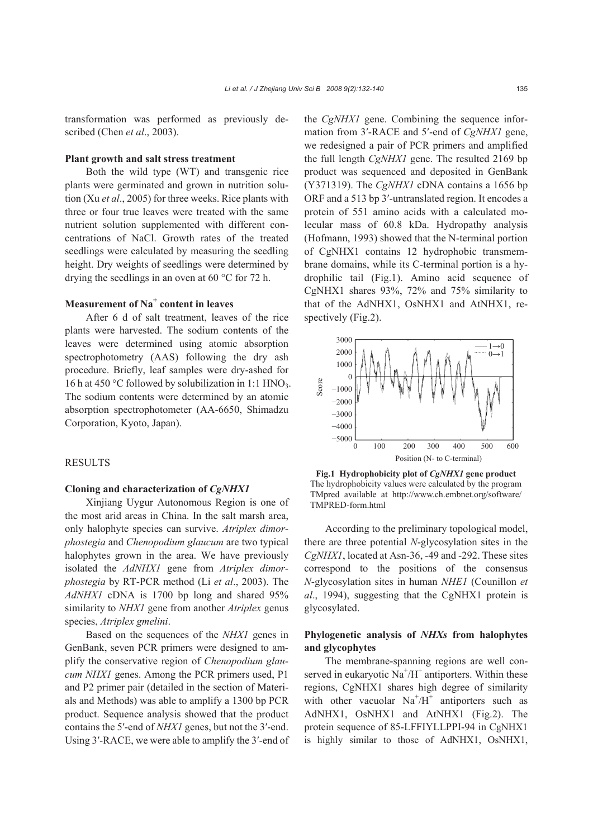transformation was performed as previously described (Chen *et al*., 2003).

#### **Plant growth and salt stress treatment**

Both the wild type (WT) and transgenic rice plants were germinated and grown in nutrition solution (Xu *et al*., 2005) for three weeks. Rice plants with three or four true leaves were treated with the same nutrient solution supplemented with different concentrations of NaCl. Growth rates of the treated seedlings were calculated by measuring the seedling height. Dry weights of seedlings were determined by drying the seedlings in an oven at 60 °C for 72 h.

# **Measurement of Na<sup>+</sup> content in leaves**

After 6 d of salt treatment, leaves of the rice plants were harvested. The sodium contents of the leaves were determined using atomic absorption spectrophotometry (AAS) following the dry ash procedure. Briefly, leaf samples were dry-ashed for 16 h at 450 °C followed by solubilization in 1:1 HNO<sub>3</sub>. The sodium contents were determined by an atomic absorption spectrophotometer (AA-6650, Shimadzu Corporation, Kyoto, Japan).

# RESULTS

# **Cloning and characterization of** *CgNHX1*

Xinjiang Uygur Autonomous Region is one of the most arid areas in China. In the salt marsh area, only halophyte species can survive. *Atriplex dimorphostegia* and *Chenopodium glaucum* are two typical halophytes grown in the area. We have previously isolated the *AdNHX1* gene from *Atriplex dimorphostegia* by RT-PCR method (Li *et al*., 2003). The *AdNHX1* cDNA is 1700 bp long and shared 95% similarity to *NHX1* gene from another *Atriplex* genus species, *Atriplex gmelini*.

Based on the sequences of the *NHX1* genes in GenBank, seven PCR primers were designed to amplify the conservative region of *Chenopodium glaucum NHX1* genes. Among the PCR primers used, P1 and P2 primer pair (detailed in the section of Materials and Methods) was able to amplify a 1300 bp PCR product. Sequence analysis showed that the product contains the 5′-end of *NHX1* genes, but not the 3′-end. Using 3′-RACE, we were able to amplify the 3′-end of the *CgNHX1* gene. Combining the sequence information from 3′-RACE and 5′-end of *CgNHX1* gene, we redesigned a pair of PCR primers and amplified the full length *CgNHX1* gene. The resulted 2169 bp product was sequenced and deposited in GenBank (Y371319). The *CgNHX1* cDNA contains a 1656 bp ORF and a 513 bp 3′-untranslated region. It encodes a protein of 551 amino acids with a calculated molecular mass of 60.8 kDa. Hydropathy analysis (Hofmann, 1993) showed that the N-terminal portion of CgNHX1 contains 12 hydrophobic transmembrane domains, while its C-terminal portion is a hydrophilic tail (Fig.1). Amino acid sequence of CgNHX1 shares 93%, 72% and 75% similarity to that of the AdNHX1, OsNHX1 and AtNHX1, respectively (Fig.2).



**Fig.1 Hydrophobicity plot of** *CgNHX1* **gene product** The hydrophobicity values were calculated by the program TMpred available at http://www.ch.embnet.org/software/ TMPRED-form.html

According to the preliminary topological model, there are three potential *N*-glycosylation sites in the *CgNHX1*, located at Asn-36, -49 and -292. These sites correspond to the positions of the consensus *N*-glycosylation sites in human *NHE1* (Counillon *et al*., 1994), suggesting that the CgNHX1 protein is glycosylated.

# **Phylogenetic analysis of** *NHXs* **from halophytes and glycophytes**

The membrane-spanning regions are well conserved in eukaryotic  $Na^{+}/H^{+}$  antiporters. Within these regions, CgNHX1 shares high degree of similarity with other vacuolar  $Na^{+}/H^{+}$  antiporters such as AdNHX1, OsNHX1 and AtNHX1 (Fig.2). The protein sequence of 85-LFFIYLLPPI-94 in CgNHX1 is highly similar to those of AdNHX1, OsNHX1,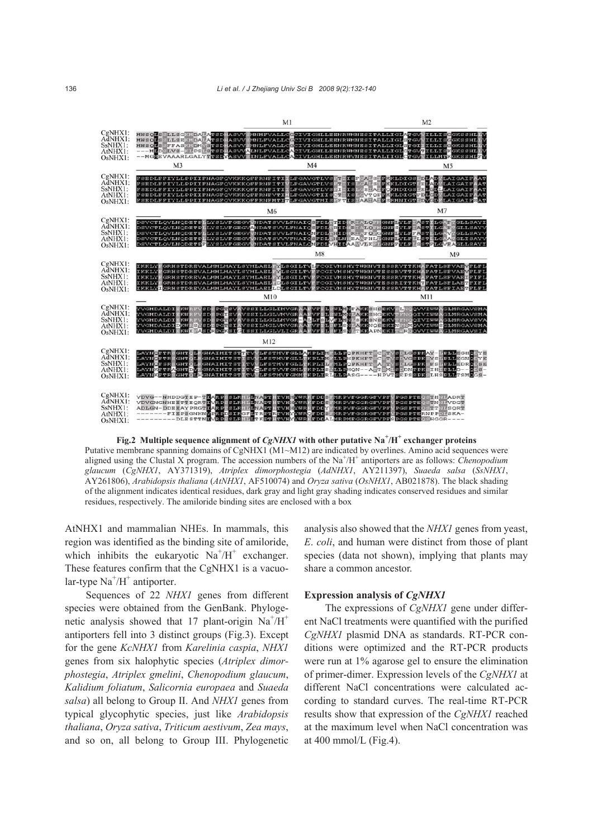

Fig.2 Multiple sequence alignment of *CgNHX1* with other putative Na<sup>+</sup>/H<sup>+</sup> exchanger proteins Putative membrane spanning domains of CgNHX1 (M1~M12) are indicated by overlines. Amino acid sequences were aligned using the Clustal X program. The accession numbers of the Na<sup>+</sup>/H<sup>+</sup> antiporters are as follows: *Chenopodium glaucum* (*CgNHX1*, AY371319), *Atriplex dimorphostegia* (*AdNHX1*, AY211397), *Suaeda salsa* (*SsNHX1*, AY261806), *Arabidopsis thaliana* (*AtNHX1*, AF510074) and *Oryza sativa* (*OsNHX1*, AB021878). The black shading of the alignment indicates identical residues, dark gray and light gray shading indicates conserved residues and similar residues, respectively. The amiloride binding sites are enclosed with a box

AtNHX1 and mammalian NHEs. In mammals, this region was identified as the binding site of amiloride, which inhibits the eukaryotic  $Na^{+}/H^{+}$  exchanger. These features confirm that the CgNHX1 is a vacuo $lar$ -type  $Na<sup>+</sup>/H<sup>+</sup>$  antiporter.

Sequences of 22 *NHX1* genes from different species were obtained from the GenBank. Phylogenetic analysis showed that 17 plant-origin  $Na^+/H^+$ antiporters fell into 3 distinct groups (Fig.3). Except for the gene *KcNHX1* from *Karelinia caspia*, *NHX1*  genes from six halophytic species (*Atriplex dimorphostegia*, *Atriplex gmelini*, *Chenopodium glaucum*, *Kalidium foliatum*, *Salicornia europaea* and *Suaeda salsa*) all belong to Group II. And *NHX1* genes from typical glycophytic species, just like *Arabidopsis thaliana*, *Oryza sativa*, *Triticum aestivum*, *Zea mays*, and so on, all belong to Group III. Phylogenetic analysis also showed that the *NHX1* genes from yeast, *E*. *coli*, and human were distinct from those of plant species (data not shown), implying that plants may share a common ancestor.

# **Expression analysis of** *CgNHX1*

The expressions of *CgNHX1* gene under different NaCl treatments were quantified with the purified *CgNHX1* plasmid DNA as standards. RT-PCR conditions were optimized and the RT-PCR products were run at 1% agarose gel to ensure the elimination of primer-dimer. Expression levels of the *CgNHX1* at different NaCl concentrations were calculated according to standard curves. The real-time RT-PCR results show that expression of the *CgNHX1* reached at the maximum level when NaCl concentration was at 400 mmol/L (Fig.4).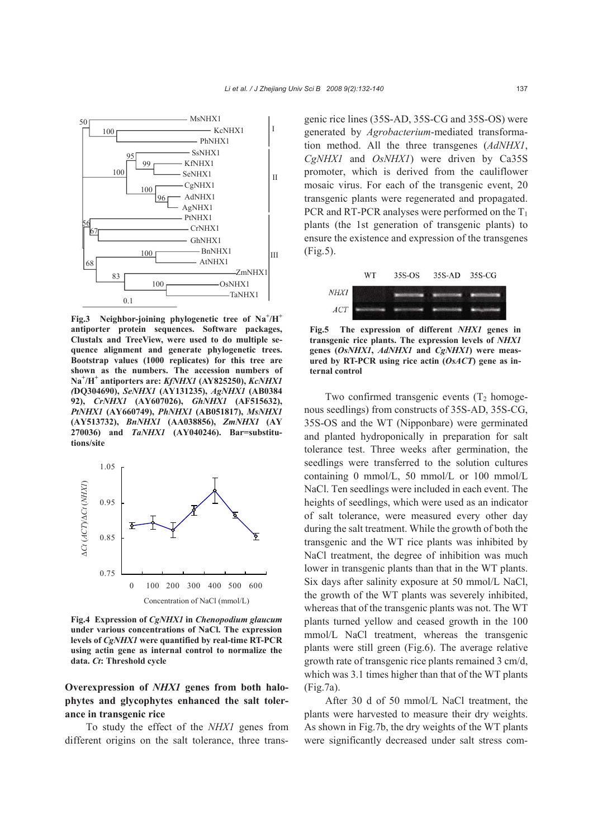

Fig.3 Neighbor-joining phylogenetic tree of Na<sup>+</sup>/H<sup>+</sup> **antiporter protein sequences. Software packages, Clustalx and TreeView, were used to do multiple sequence alignment and generate phylogenetic trees. Bootstrap values (1000 replicates) for this tree are shown as the numbers. The accession numbers of Na<sup>+</sup> /H<sup>+</sup> antiporters are:** *KfNHX1* **(AY825250),** *KcNHX1 (***DQ304690),** *SeNHX1* **(AY131235),** *AgNHX1* **(AB0384 92),** *CrNHX1* **(AY607026),** *GhNHX1* **(AF515632),** *PtNHX1* **(AY660749),** *PhNHX1* **(AB051817),** *MsNHX1* **(AY513732),** *BnNHX1* **(AA038856),** *ZmNHX1* **(AY 270036) and** *TaNHX1* **(AY040246). Bar=substitutions/site** 



**Fig.4 Expression of** *CgNHX1* **in** *Chenopodium glaucum* **under various concentrations of NaCl. The expression levels of** *CgNHX1* **were quantified by real-time RT-PCR using actin gene as internal control to normalize the data.** *Ct***: Threshold cycle** 

**Overexpression of** *NHX1* **genes from both halophytes and glycophytes enhanced the salt tolerance in transgenic rice** 

To study the effect of the *NHX1* genes from different origins on the salt tolerance, three transgenic rice lines (35S-AD, 35S-CG and 35S-OS) were generated by *Agrobacterium*-mediated transformation method. All the three transgenes (*AdNHX1*, *CgNHX1* and *OsNHX1*) were driven by Ca35S promoter, which is derived from the cauliflower mosaic virus. For each of the transgenic event, 20 transgenic plants were regenerated and propagated. PCR and RT-PCR analyses were performed on the  $T_1$ plants (the 1st generation of transgenic plants) to ensure the existence and expression of the transgenes (Fig.5).



**Fig.5 The expression of different** *NHX1* **genes in transgenic rice plants. The expression levels of** *NHX1* **genes (***OsNHX1***,** *AdNHX1* **and** *CgNHX1***) were measured by RT-PCR using rice actin (***OsACT***) gene as internal control** 

Two confirmed transgenic events  $(T_2)$  homogenous seedlings) from constructs of 35S-AD, 35S-CG, 35S-OS and the WT (Nipponbare) were germinated and planted hydroponically in preparation for salt tolerance test. Three weeks after germination, the seedlings were transferred to the solution cultures containing 0 mmol/L, 50 mmol/L or 100 mmol/L NaCl. Ten seedlings were included in each event. The heights of seedlings, which were used as an indicator of salt tolerance, were measured every other day during the salt treatment. While the growth of both the transgenic and the WT rice plants was inhibited by NaCl treatment, the degree of inhibition was much lower in transgenic plants than that in the WT plants. Six days after salinity exposure at 50 mmol/L NaCl, the growth of the WT plants was severely inhibited, whereas that of the transgenic plants was not. The WT plants turned yellow and ceased growth in the 100 mmol/L NaCl treatment, whereas the transgenic plants were still green (Fig.6). The average relative growth rate of transgenic rice plants remained 3 cm/d, which was 3.1 times higher than that of the WT plants (Fig.7a).

After 30 d of 50 mmol/L NaCl treatment, the plants were harvested to measure their dry weights. As shown in Fig.7b, the dry weights of the WT plants were significantly decreased under salt stress com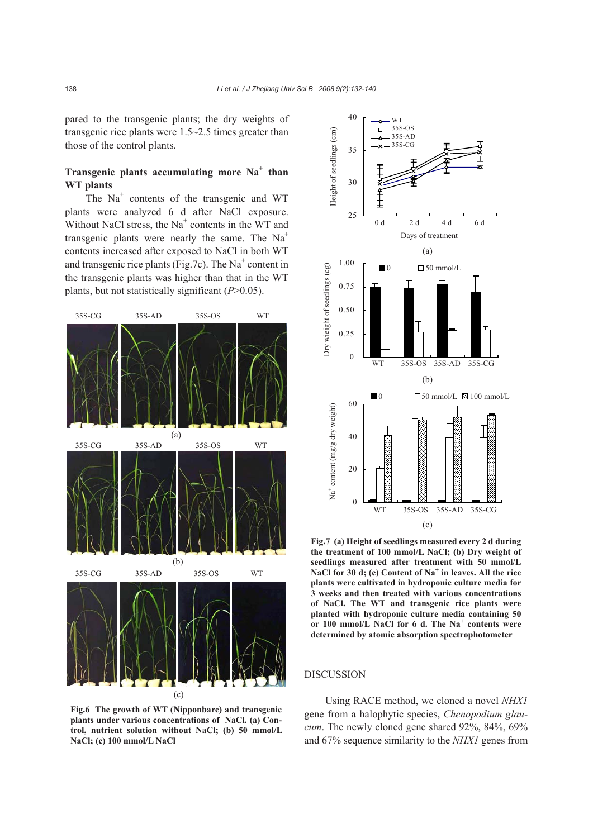pared to the transgenic plants; the dry weights of transgenic rice plants were 1.5~2.5 times greater than those of the control plants.

# **Transgenic plants accumulating more Na<sup>+</sup> than WT plants**

The Na<sup>+</sup> contents of the transgenic and WT plants were analyzed 6 d after NaCl exposure. Without NaCl stress, the Na<sup>+</sup> contents in the WT and transgenic plants were nearly the same. The  $Na<sup>+</sup>$ contents increased after exposed to NaCl in both WT and transgenic rice plants (Fig.7c). The  $Na<sup>+</sup>$  content in the transgenic plants was higher than that in the WT plants, but not statistically significant (*P*>0.05).



**Fig.6 The growth of WT (Nipponbare) and transgenic plants under various concentrations of NaCl. (a) Control, nutrient solution without NaCl; (b) 50 mmol/L NaCl; (c) 100 mmol/L NaCl** 



**Fig.7 (a) Height of seedlings measured every 2 d during the treatment of 100 mmol/L NaCl; (b) Dry weight of seedlings measured after treatment with 50 mmol/L** NaCl for 30 d; (c) Content of Na<sup>+</sup> in leaves. All the rice **plants were cultivated in hydroponic culture media for 3 weeks and then treated with various concentrations of NaCl. The WT and transgenic rice plants were planted with hydroponic culture media containing 50 or 100 mmol/L NaCl for 6 d. The Na<sup>+</sup> contents were determined by atomic absorption spectrophotometer** 

# DISCUSSION

Using RACE method, we cloned a novel *NHX1* gene from a halophytic species, *Chenopodium glaucum*. The newly cloned gene shared 92%, 84%, 69% and 67% sequence similarity to the *NHX1* genes from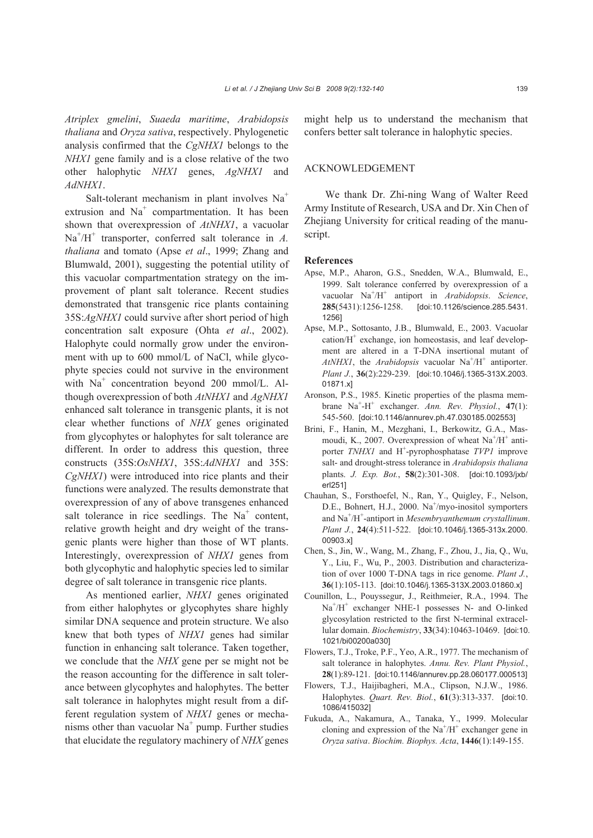*Atriplex gmelini*, *Suaeda maritime*, *Arabidopsis thaliana* and *Oryza sativa*, respectively. Phylogenetic analysis confirmed that the *CgNHX1* belongs to the *NHX1* gene family and is a close relative of the two other halophytic *NHX1* genes, *AgNHX1* and *AdNHX1*.

Salt-tolerant mechanism in plant involves  $Na<sup>+</sup>$ extrusion and  $Na<sup>+</sup>$  compartmentation. It has been shown that overexpression of *AtNHX1*, a vacuolar  $Na<sup>+</sup>/H<sup>+</sup>$  transporter, conferred salt tolerance in *A*. *thaliana* and tomato (Apse *et al*., 1999; Zhang and Blumwald, 2001), suggesting the potential utility of this vacuolar compartmentation strategy on the improvement of plant salt tolerance. Recent studies demonstrated that transgenic rice plants containing 35S:*AgNHX1* could survive after short period of high concentration salt exposure (Ohta *et al*., 2002). Halophyte could normally grow under the environment with up to 600 mmol/L of NaCl, while glycophyte species could not survive in the environment with Na<sup>+</sup> concentration beyond 200 mmol/L. Although overexpression of both *AtNHX1* and *AgNHX1* enhanced salt tolerance in transgenic plants, it is not clear whether functions of *NHX* genes originated from glycophytes or halophytes for salt tolerance are different. In order to address this question, three constructs (35S:*OsNHX1*, 35S:*AdNHX1* and 35S: *CgNHX1*) were introduced into rice plants and their functions were analyzed. The results demonstrate that overexpression of any of above transgenes enhanced salt tolerance in rice seedlings. The  $Na<sup>+</sup>$  content, relative growth height and dry weight of the transgenic plants were higher than those of WT plants. Interestingly, overexpression of *NHX1* genes from both glycophytic and halophytic species led to similar degree of salt tolerance in transgenic rice plants.

As mentioned earlier, *NHX1* genes originated from either halophytes or glycophytes share highly similar DNA sequence and protein structure. We also knew that both types of *NHX1* genes had similar function in enhancing salt tolerance. Taken together, we conclude that the *NHX* gene per se might not be the reason accounting for the difference in salt tolerance between glycophytes and halophytes. The better salt tolerance in halophytes might result from a different regulation system of *NHX1* genes or mechanisms other than vacuolar  $Na<sup>+</sup>$  pump. Further studies that elucidate the regulatory machinery of *NHX* genes

might help us to understand the mechanism that confers better salt tolerance in halophytic species.

# ACKNOWLEDGEMENT

We thank Dr. Zhi-ning Wang of Walter Reed Army Institute of Research, USA and Dr. Xin Chen of Zhejiang University for critical reading of the manuscript.

#### **References**

- Apse, M.P., Aharon, G.S., Snedden, W.A., Blumwald, E., 1999. Salt tolerance conferred by overexpression of a vacuolar Na<sup>+</sup> /H+ antiport in *Arabidopsis*. *Science*, **285**(5431):1256-1258. [doi:10.1126/science.285.5431. 1256]
- Apse, M.P., Sottosanto, J.B., Blumwald, E., 2003. Vacuolar  $cation/H^+$  exchange, ion homeostasis, and leaf development are altered in a T-DNA insertional mutant of  $AtNHX1$ , the  $Arabidopsis$  vacuolar  $Na^{+}/H^{+}$  antiporter. *Plant J.*, **36**(2):229-239. [doi:10.1046/j.1365-313X.2003. 01871.x]
- Aronson, P.S., 1985. Kinetic properties of the plasma membrane Na<sup>+</sup> -H+ exchanger. *Ann. Rev. Physiol.*, **47**(1): 545-560. [doi:10.1146/annurev.ph.47.030185.002553]
- Brini, F., Hanin, M., Mezghani, I., Berkowitz, G.A., Masmoudi, K., 2007. Overexpression of wheat  $Na<sup>+</sup>/H<sup>+</sup>$  antiporter *TNHX1* and H<sup>+</sup>-pyrophosphatase *TVP1* improve salt- and drought-stress tolerance in *Arabidopsis thaliana* plants. *J. Exp. Bot.*, **58**(2):301-308. [doi:10.1093/jxb/ erl251]
- Chauhan, S., Forsthoefel, N., Ran, Y., Quigley, F., Nelson, D.E., Bohnert, H.J., 2000. Na<sup>+</sup>/myo-inositol symporters and Na<sup>+</sup> /H+ -antiport in *Mesembryanthemum crystallinum*. *Plant J.*, **24**(4):511-522. [doi:10.1046/j.1365-313x.2000. 00903.x]
- Chen, S., Jin, W., Wang, M., Zhang, F., Zhou, J., Jia, Q., Wu, Y., Liu, F., Wu, P., 2003. Distribution and characterization of over 1000 T-DNA tags in rice genome. *Plant J.*, **36**(1):105-113. [doi:10.1046/j.1365-313X.2003.01860.x]
- Counillon, L., Pouyssegur, J., Reithmeier, R.A., 1994. The Na<sup>+</sup>/H<sup>+</sup> exchanger NHE-1 possesses N- and O-linked glycosylation restricted to the first N-terminal extracellular domain. *Biochemistry*, **33**(34):10463-10469. [doi:10. 1021/bi00200a030]
- Flowers, T.J., Troke, P.F., Yeo, A.R., 1977. The mechanism of salt tolerance in halophytes. *Annu. Rev. Plant Physiol.*, **28**(1):89-121. [doi:10.1146/annurev.pp.28.060177.000513]
- Flowers, T.J., Haijibagheri, M.A., Clipson, N.J.W., 1986. Halophytes. *Quart. Rev. Biol.*, **61**(3):313-337. [doi:10. 1086/415032]
- Fukuda, A., Nakamura, A., Tanaka, Y., 1999. Molecular cloning and expression of the  $Na<sup>+</sup>/H<sup>+</sup>$  exchanger gene in *Oryza sativa*. *Biochim. Biophys. Acta*, **1446**(1):149-155.